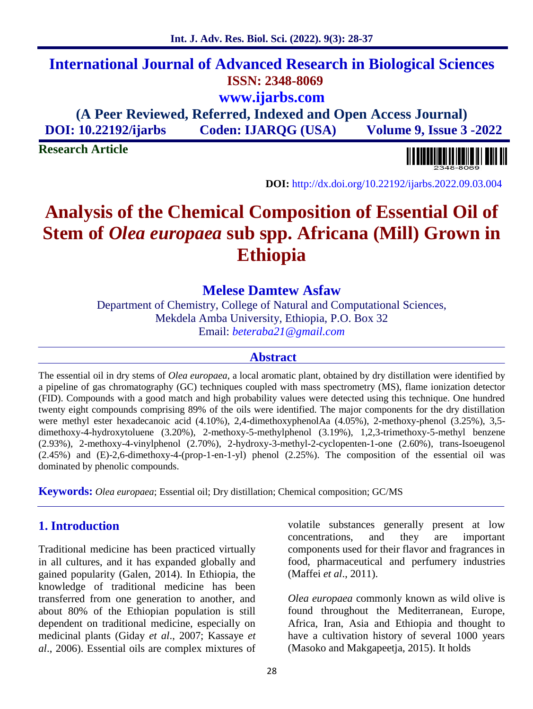## **International Journal of Advanced Research in Biological Sciences ISSN: 2348-8069 www.ijarbs.com**

**(A Peer Reviewed, Referred, Indexed and Open Access Journal) DOI: 10.22192/ijarbs Coden: IJARQG (USA) Volume 9, Issue 3 -2022**

**Research Article**



**DOI:** http://dx.doi.org/10.22192/ijarbs.2022.09.03.004

# **Analysis of the Chemical Composition of Essential Oil of Stem of** *Olea europaea* **sub spp. Africana (Mill) Grown in Ethiopia**

### **Melese Damtew Asfaw**

Department of Chemistry, College of Natural and Computational Sciences, Mekdela Amba University, Ethiopia, P.O. Box 32 Email: *beteraba21@gmail.com*

#### **Abstract**

The essential oil in dry stems of *Olea europaea*, a local aromatic plant, obtained by dry distillation were identified by a pipeline of gas chromatography (GC) techniques coupled with mass spectrometry (MS), flame ionization detector (FID). Compounds with a good match and high probability values were detected using this technique. One hundred twenty eight compounds comprising 89% of the oils were identified. The major components for the dry distillation were methyl ester hexadecanoic acid (4.10%), 2,4-dimethoxyphenolAa (4.05%), 2-methoxy-phenol (3.25%), 3,5dimethoxy-4-hydroxytoluene (3.20%), 2-methoxy-5-methylphenol (3.19%), 1,2,3-trimethoxy-5-methyl benzene (2.93%), 2-methoxy-4-vinylphenol (2.70%), 2-hydroxy-3-methyl-2-cyclopenten-1-one (2.60%), trans-Isoeugenol (2.45%) and (E)-2,6-dimethoxy-4-(prop-1-en-1-yl) phenol (2.25%). The composition of the essential oil was dominated by phenolic compounds.

**Keywords:** *Olea europaea*; Essential oil; Dry distillation; Chemical composition; GC/MS

### **1. Introduction**

Traditional medicine has been practiced virtually in all cultures, and it has expanded globally and gained popularity (Galen, 2014). In Ethiopia, the knowledge of traditional medicine has been transferred from one generation to another, and about 80% of the Ethiopian population is still dependent on traditional medicine, especially on medicinal plants (Giday *et al*., 2007; Kassaye *et al*., 2006). Essential oils are complex mixtures of volatile substances generally present at low concentrations, and they are important components used for their flavor and fragrances in food, pharmaceutical and perfumery industries (Maffei *et al*., 2011).

*Olea europaea* commonly known as wild olive is found throughout the Mediterranean, Europe, Africa, Iran, Asia and Ethiopia and thought to have a cultivation history of several 1000 years (Masoko and Makgapeetja, 2015). It holds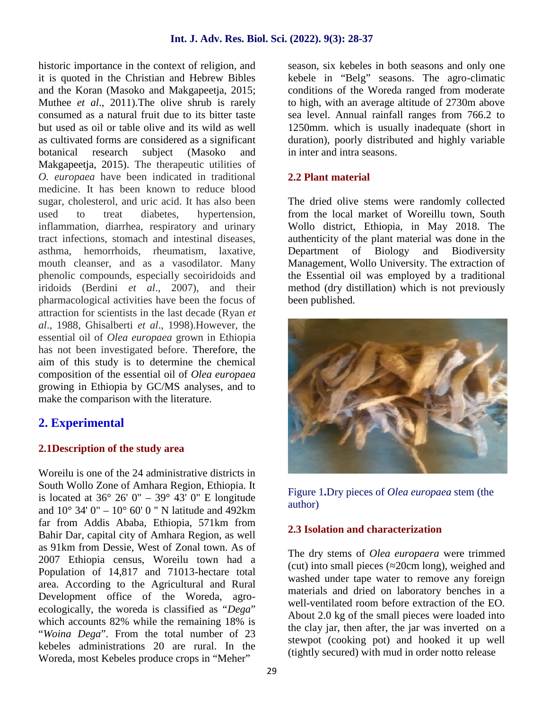historic importance in the context of religion, and it is quoted in the Christian and Hebrew Bibles and the Koran (Masoko and Makgapeetja, 2015; Muthee *et al*., 2011).The olive shrub is rarely consumed as a natural fruit due to its bitter taste but used as oil or table olive and its wild as well as cultivated forms are considered as a significant botanical research subject (Masoko and Makgapeetja, 2015). The therapeutic utilities of *O. europaea* have been indicated in traditional medicine. It has been known to reduce blood sugar, cholesterol, and uric acid. It has also been used to treat diabetes, hypertension, inflammation, diarrhea, respiratory and urinary tract infections, stomach and intestinal diseases, asthma, hemorrhoids, rheumatism, laxative, mouth cleanser, and as a vasodilator. Many phenolic compounds, especially secoiridoids and iridoids (Berdini *et al*., 2007), and their pharmacological activities have been the focus of attraction for scientists in the last decade (Ryan *et al*., 1988, Ghisalberti *et al*., 1998).However, the essential oil of *Olea europaea* grown in Ethiopia has not been investigated before. Therefore, the aim of this study is to determine the chemical composition of the essential oil of *Olea europaea* growing in Ethiopia by GC/MS analyses, and to make the comparison with the literature.

### **2. Experimental**

#### **2.1Description of the study area**

Woreilu is one of the 24 administrative districts in South Wollo Zone of Amhara Region, Ethiopia. It is located at  $36^{\circ}$  26' 0" –  $39^{\circ}$  43' 0" E longitude and  $10^{\circ}$  34' 0" –  $10^{\circ}$  60' 0" N latitude and 492km far from Addis Ababa, Ethiopia, 571km from Bahir Dar, capital city of Amhara Region, as well as 91km from Dessie, West of Zonal town. As of 2007 Ethiopia census, Woreilu town had a Population of 14,817 and 71013-hectare total area. According to the Agricultural and Rural Development office of the Woreda, agro ecologically, the woreda is classified as "*Dega*" which accounts 82% while the remaining 18% is "*Woina Dega*". From the total number of 23 kebeles administrations 20 are rural. In the Woreda, most Kebeles produce crops in "Meher"

season, six kebeles in both seasons and only one kebele in "Belg" seasons. The agro-climatic conditions of the Woreda ranged from moderate to high, with an average altitude of 2730m above sea level. Annual rainfall ranges from 766.2 to 1250mm. which is usually inadequate (short in duration), poorly distributed and highly variable in inter and intra seasons.

### **2.2 Plant material**

The dried olive stems were randomly collected from the local market of Woreillu town, South Wollo district, Ethiopia, in May 2018. The authenticity of the plant material was done in the Department of Biology and Biodiversity Management, Wollo University. The extraction of the Essential oil was employed by a traditional method (dry distillation) which is not previously been published.



Figure 1**.**Dry pieces of *Olea europaea* stem (the author)

#### **2.3 Isolation and characterization**

The dry stems of *Olea europaera* were trimmed (cut) into small pieces ( 20cm long), weighed and washed under tape water to remove any foreign materials and dried on laboratory benches in a well-ventilated room before extraction of the EO. About 2.0 kg of the small pieces were loaded into the clay jar, then after, the jar was inverted on a stewpot (cooking pot) and hooked it up well (tightly secured) with mud in order notto release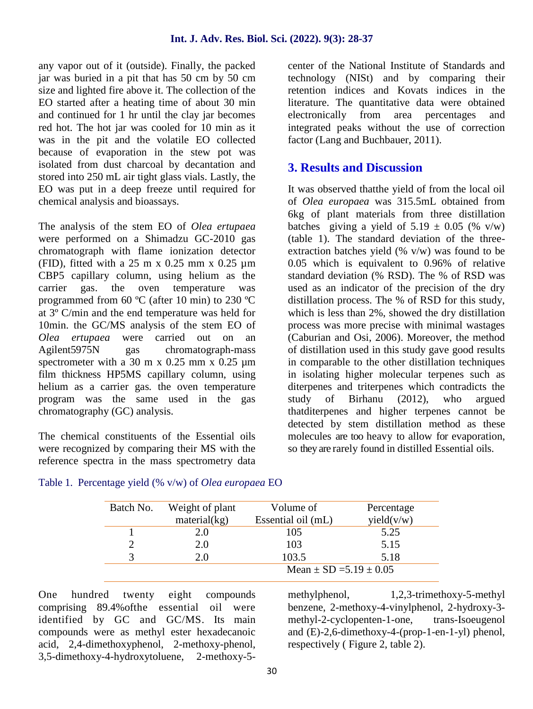any vapor out of it (outside). Finally, the packed jar was buried in a pit that has 50 cm by 50 cm size and lighted fire above it. The collection of the EO started after a heating time of about 30 min and continued for 1 hr until the clay jar becomes red hot. The hot jar was cooled for 10 min as it was in the pit and the volatile EO collected because of evaporation in the stew pot was isolated from dust charcoal by decantation and stored into 250 mL air tight glass vials. Lastly, the EO was put in a deep freeze until required for chemical analysis and bioassays.

The analysis of the stem EO of *Olea ertupaea* were performed on a Shimadzu GC-2010 gas chromatograph with flame ionization detector (FID), fitted with a 25 m x 0.25 mm x 0.25 µm CBP5 capillary column, using helium as the carrier gas. the oven temperature was programmed from 60 ºC (after 10 min) to 230 ºC at 3º C/min and the end temperature was held for 10min. the GC/MS analysis of the stem EO of *Olea ertupaea* were carried out on an Agilent5975N gas chromatograph-mass spectrometer with a 30 m x 0.25 mm x 0.25  $\mu$ m film thickness HP5MS capillary column, using helium as a carrier gas. the oven temperature program was the same used in the gas chromatography (GC) analysis.

The chemical constituents of the Essential oils were recognized by comparing their MS with the reference spectra in the mass spectrometry data center of the National Institute of Standards and technology (NISt) and by comparing their retention indices and Kovats indices in the literature. The quantitative data were obtained electronically from area percentages and integrated peaks without the use of correction factor (Lang and Buchbauer, 2011).

### **3. Results and Discussion**

It was observed thatthe yield of from the local oil of *Olea europaea* was 315.5mL obtained from 6kg of plant materials from three distillation batches giving a yield of  $5.19 \pm 0.05$  (% v/w) (table 1). The standard deviation of the three extraction batches yield  $(\% \text{ v/w})$  was found to be 0.05 which is equivalent to 0.96% of relative standard deviation (% RSD). The % of RSD was used as an indicator of the precision of the dry distillation process. The % of RSD for this study, which is less than 2%, showed the dry distillation process was more precise with minimal wastages (Caburian and Osi, 2006). Moreover, the method of distillation used in this study gave good results in comparable to the other distillation techniques in isolating higher molecular terpenes such as diterpenes and triterpenes which contradicts the study of Birhanu (2012), who argued thatditerpenes and higher terpenes cannot be detected by stem distillation method as these molecules are too heavy to allow for evaporation, so they are rarely found in distilled Essential oils.

| Batch No. | Weight of plant<br>material(kg)<br>2.0<br>2.0 | Volume of                        | Percentage |  |
|-----------|-----------------------------------------------|----------------------------------|------------|--|
|           |                                               | yield(v/w)<br>Essential oil (mL) |            |  |
|           |                                               | 105                              | 5.25       |  |
|           |                                               | 103                              | 5.15       |  |
|           | 2.0                                           | 103.5                            | 5.18       |  |
|           |                                               | Mean $\pm$ SD =5.19 $\pm$ 0.05   |            |  |

#### Table 1. Percentage yield (% v/w) of *Olea europaea* EO

One hundred twenty eight compounds comprising 89.4%ofthe essential oil were identified by GC and GC/MS. Its main compounds were as methyl ester hexadecanoic acid, 2,4-dimethoxyphenol, 2-methoxy-phenol, 3,5-dimethoxy-4-hydroxytoluene, 2-methoxy-5methylphenol, 1,2,3-trimethoxy-5-methyl benzene, 2-methoxy-4-vinylphenol, 2-hydroxy-3 methyl-2-cyclopenten-1-one, trans-Isoeugenol and (E)-2,6-dimethoxy-4-(prop-1-en-1-yl) phenol, respectively ( Figure 2, table 2).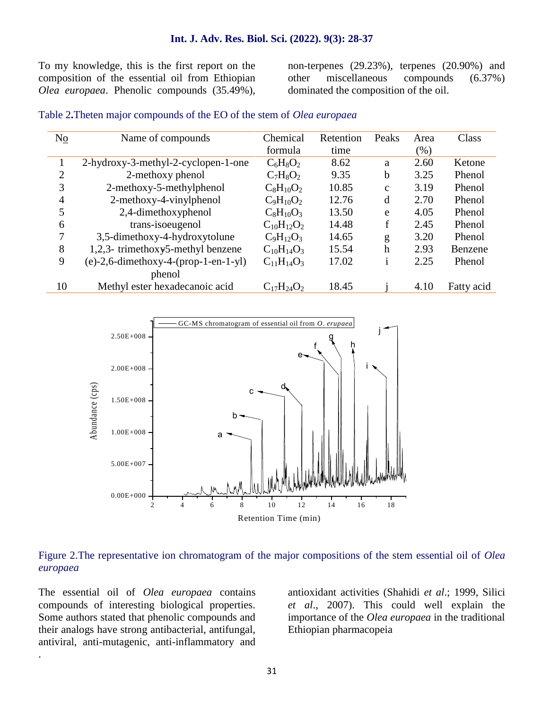To my knowledge, this is the first report on the composition of the essential oil from Ethiopian *Olea europaea*. Phenolic compounds (35.49%),

non-terpenes (29.23%), terpenes (20.90%) and  $miscellaneous compounds (6.37%)$ dominated the composition of the oil.

#### Table 2**.**Theten major compounds of the EO of the stem of *Olea europaea*

| No             | Name of compounds                        | Chemical          | Retention | Peaks        | Area | Class      |
|----------------|------------------------------------------|-------------------|-----------|--------------|------|------------|
|                |                                          | formula           | time      |              | (% ) |            |
|                | 2-hydroxy-3-methyl-2-cyclopen-1-one      | $C_6H_8O_2$       | 8.62      | a            | 2.60 | Ketone     |
| $\overline{2}$ | 2-methoxy phenol                         | $C_7H_8O_2$       | 9.35      | b            | 3.25 | Phenol     |
| 3              | 2-methoxy-5-methylphenol                 | $C_8H_{10}O_2$    | 10.85     | $\mathbf{c}$ | 3.19 | Phenol     |
| $\overline{4}$ | 2-methoxy-4-vinylphenol                  | $C_9H_{10}O_2$    | 12.76     | d            | 2.70 | Phenol     |
| 5              | 2,4-dimethoxyphenol                      | $C_8H_{10}O_3$    | 13.50     | e            | 4.05 | Phenol     |
| 6              | trans-isoeugenol                         | $C_{10}H_{12}O_2$ | 14.48     | f            | 2.45 | Phenol     |
| 7              | 3,5-dimethoxy-4-hydroxytolune            | $C_9H_{12}O_3$    | 14.65     | g            | 3.20 | Phenol     |
| 8              | 1,2,3- trimethoxy5-methyl benzene        | $C_{10}H_{14}O_3$ | 15.54     | h            | 2.93 | Benzene    |
| 9              | $(e)-2, 6$ -dimethoxy-4-(prop-1-en-1-yl) | $C_{11}H_{14}O_3$ | 17.02     | 1            | 2.25 | Phenol     |
|                | phenol                                   |                   |           |              |      |            |
| 10             | Methyl ester hexadecanoic acid           | $C_{17}H_{24}O_2$ | 18.45     |              | 4.10 | Fatty acid |



#### Figure 2.The representative ion chromatogram of the major compositions of the stem essential oil of *Olea europaea*

The essential oil of *Olea europaea* contains compounds of interesting biological properties. Some authors stated that phenolic compounds and their analogs have strong antibacterial, antifungal, antiviral, anti-mutagenic, anti-inflammatory and

.

antioxidant activities (Shahidi *et al*.; 1999, Silici *et al*., 2007). This could well explain the importance of the *Olea europaea* in the traditional Ethiopian pharmacopeia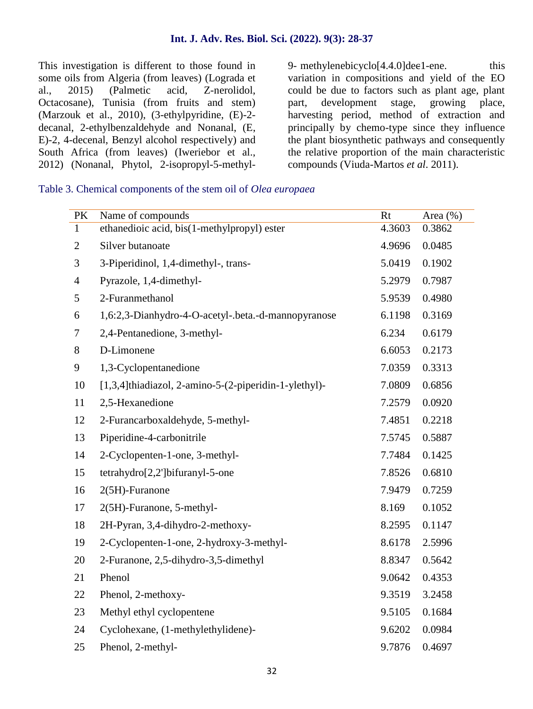This investigation is different to those found in 9- methylenebicyclo<sup>[4.4.0]</sup>dee1-ene. some oils from Algeria (from leaves) (Lograda et al., 2015) (Palmetic acid, Z-nerolidol, Octacosane), Tunisia (from fruits and stem) (Marzouk et al., 2010), (3-ethylpyridine, (E)-2 decanal, 2-ethylbenzaldehyde and Nonanal, (E, E)-2, 4-decenal, Benzyl alcohol respectively) and South Africa (from leaves) (Iweriebor et al., 2012) (Nonanal, Phytol, 2-isopropyl-5-methyl-

 $(2022)$ ,  $9(3)$ :  $28-37$ <br>9- methylenebicyclo $[4.4.0]$ dec1-ene. this variation in compositions and yield of the EO could be due to factors such as plant age, plant part, development stage, growing place, harvesting period, method of extraction and principally by chemo-type since they influence the plant biosynthetic pathways and consequently the relative proportion of the main characteristic compounds (Viuda-Martos *et al*. 2011).

Table 3. Chemical components of the stem oil of *Olea europaea*

| PK             | Name of compounds                                     | Rt     | Area $(\% )$ |
|----------------|-------------------------------------------------------|--------|--------------|
| $\mathbf{1}$   | ethanedioic acid, bis(1-methylpropyl) ester           | 4.3603 | 0.3862       |
| $\overline{2}$ | Silver butanoate                                      | 4.9696 | 0.0485       |
| 3              | 3-Piperidinol, 1,4-dimethyl-, trans-                  | 5.0419 | 0.1902       |
| $\overline{4}$ | Pyrazole, 1,4-dimethyl-                               | 5.2979 | 0.7987       |
| 5              | 2-Furanmethanol                                       | 5.9539 | 0.4980       |
| 6              | 1,6:2,3-Dianhydro-4-O-acetyl-.beta.-d-mannopyranose   | 6.1198 | 0.3169       |
| 7              | 2,4-Pentanedione, 3-methyl-                           | 6.234  | 0.6179       |
| 8              | D-Limonene                                            | 6.6053 | 0.2173       |
| 9              | 1,3-Cyclopentanedione                                 | 7.0359 | 0.3313       |
| 10             | [1,3,4]thiadiazol, 2-amino-5-(2-piperidin-1-ylethyl)- | 7.0809 | 0.6856       |
| 11             | 2,5-Hexanedione                                       | 7.2579 | 0.0920       |
| 12             | 2-Furancarboxaldehyde, 5-methyl-                      | 7.4851 | 0.2218       |
| 13             | Piperidine-4-carbonitrile                             | 7.5745 | 0.5887       |
| 14             | 2-Cyclopenten-1-one, 3-methyl-                        | 7.7484 | 0.1425       |
| 15             | tetrahydro[2,2']bifuranyl-5-one                       | 7.8526 | 0.6810       |
| 16             | 2(5H)-Furanone                                        | 7.9479 | 0.7259       |
| 17             | 2(5H)-Furanone, 5-methyl-                             | 8.169  | 0.1052       |
| 18             | 2H-Pyran, 3,4-dihydro-2-methoxy-                      | 8.2595 | 0.1147       |
| 19             | 2-Cyclopenten-1-one, 2-hydroxy-3-methyl-              | 8.6178 | 2.5996       |
| 20             | 2-Furanone, 2,5-dihydro-3,5-dimethyl                  | 8.8347 | 0.5642       |
| 21             | Phenol                                                | 9.0642 | 0.4353       |
| 22             | Phenol, 2-methoxy-                                    | 9.3519 | 3.2458       |
| 23             | Methyl ethyl cyclopentene                             | 9.5105 | 0.1684       |
| 24             | Cyclohexane, (1-methylethylidene)-                    | 9.6202 | 0.0984       |
| 25             | Phenol, 2-methyl-                                     | 9.7876 | 0.4697       |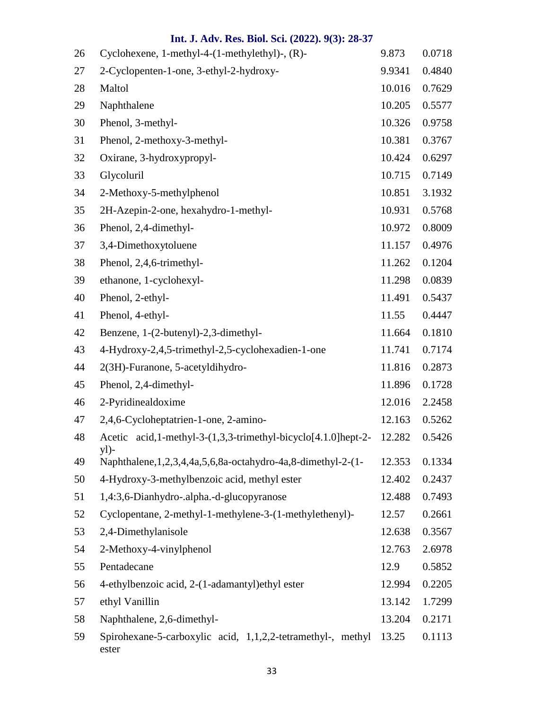| 26 | Cyclohexene, $1$ -methyl-4- $(1$ -methylethyl)-, $(R)$ -                  | 9.873  | 0.0718 |
|----|---------------------------------------------------------------------------|--------|--------|
| 27 | 2-Cyclopenten-1-one, 3-ethyl-2-hydroxy-                                   | 9.9341 | 0.4840 |
| 28 | Maltol                                                                    | 10.016 | 0.7629 |
| 29 | Naphthalene                                                               | 10.205 | 0.5577 |
| 30 | Phenol, 3-methyl-                                                         | 10.326 | 0.9758 |
| 31 | Phenol, 2-methoxy-3-methyl-                                               | 10.381 | 0.3767 |
| 32 | Oxirane, 3-hydroxypropyl-                                                 | 10.424 | 0.6297 |
| 33 | Glycoluril                                                                | 10.715 | 0.7149 |
| 34 | 2-Methoxy-5-methylphenol                                                  | 10.851 | 3.1932 |
| 35 | 2H-Azepin-2-one, hexahydro-1-methyl-                                      | 10.931 | 0.5768 |
| 36 | Phenol, 2,4-dimethyl-                                                     | 10.972 | 0.8009 |
| 37 | 3,4-Dimethoxytoluene                                                      | 11.157 | 0.4976 |
| 38 | Phenol, 2,4,6-trimethyl-                                                  | 11.262 | 0.1204 |
| 39 | ethanone, 1-cyclohexyl-                                                   | 11.298 | 0.0839 |
| 40 | Phenol, 2-ethyl-                                                          | 11.491 | 0.5437 |
| 41 | Phenol, 4-ethyl-                                                          | 11.55  | 0.4447 |
| 42 | Benzene, 1-(2-butenyl)-2,3-dimethyl-                                      | 11.664 | 0.1810 |
| 43 | 4-Hydroxy-2,4,5-trimethyl-2,5-cyclohexadien-1-one                         | 11.741 | 0.7174 |
| 44 | 2(3H)-Furanone, 5-acetyldihydro-                                          | 11.816 | 0.2873 |
| 45 | Phenol, 2,4-dimethyl-                                                     | 11.896 | 0.1728 |
| 46 | 2-Pyridinealdoxime                                                        | 12.016 | 2.2458 |
| 47 | 2,4,6-Cycloheptatrien-1-one, 2-amino-                                     | 12.163 | 0.5262 |
| 48 | Acetic acid, 1-methyl-3-(1,3,3-trimethyl-bicyclo[4.1.0]hept-2-<br>$y$ ])- | 12.282 | 0.5426 |
| 49 | Naphthalene, 1, 2, 3, 4, 4a, 5, 6, 8a - octahydro-4a, 8-dimethyl-2-(1-    | 12.353 | 0.1334 |
| 50 | 4-Hydroxy-3-methylbenzoic acid, methyl ester                              | 12.402 | 0.2437 |
| 51 | 1,4:3,6-Dianhydro-.alpha.-d-glucopyranose                                 | 12.488 | 0.7493 |
| 52 | Cyclopentane, 2-methyl-1-methylene-3-(1-methylethenyl)-                   | 12.57  | 0.2661 |
| 53 | 2,4-Dimethylanisole                                                       | 12.638 | 0.3567 |
| 54 | 2-Methoxy-4-vinylphenol                                                   | 12.763 | 2.6978 |
| 55 | Pentadecane                                                               | 12.9   | 0.5852 |
| 56 | 4-ethylbenzoic acid, 2-(1-adamantyl)ethyl ester                           | 12.994 | 0.2205 |
| 57 | ethyl Vanillin                                                            | 13.142 | 1.7299 |
| 58 | Naphthalene, 2,6-dimethyl-                                                | 13.204 | 0.2171 |
| 59 | Spirohexane-5-carboxylic acid, 1,1,2,2-tetramethyl-, methyl<br>ester      | 13.25  | 0.1113 |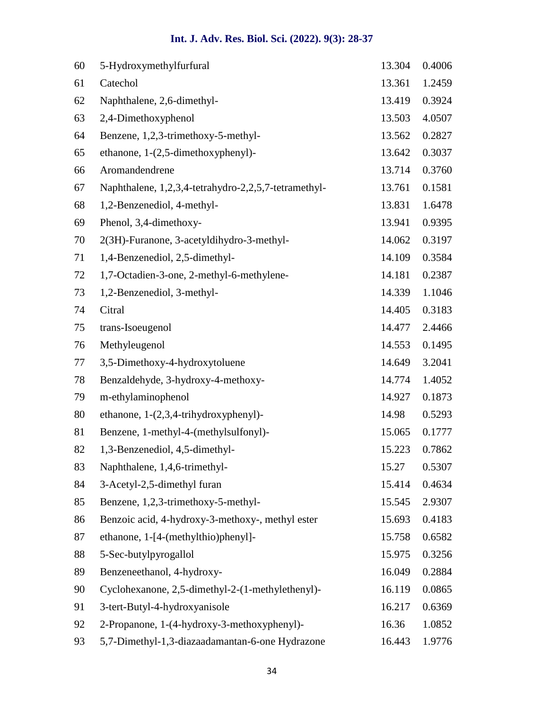| 60 | 5-Hydroxymethylfurfural                              | 13.304 | 0.4006 |
|----|------------------------------------------------------|--------|--------|
| 61 | Catechol                                             | 13.361 | 1.2459 |
| 62 | Naphthalene, 2,6-dimethyl-                           | 13.419 | 0.3924 |
| 63 | 2,4-Dimethoxyphenol                                  | 13.503 | 4.0507 |
| 64 | Benzene, 1,2,3-trimethoxy-5-methyl-                  | 13.562 | 0.2827 |
| 65 | ethanone, 1-(2,5-dimethoxyphenyl)-                   | 13.642 | 0.3037 |
| 66 | Aromandendrene                                       | 13.714 | 0.3760 |
| 67 | Naphthalene, 1,2,3,4-tetrahydro-2,2,5,7-tetramethyl- | 13.761 | 0.1581 |
| 68 | 1,2-Benzenediol, 4-methyl-                           | 13.831 | 1.6478 |
| 69 | Phenol, 3,4-dimethoxy-                               | 13.941 | 0.9395 |
| 70 | 2(3H)-Furanone, 3-acetyldihydro-3-methyl-            | 14.062 | 0.3197 |
| 71 | 1,4-Benzenediol, 2,5-dimethyl-                       | 14.109 | 0.3584 |
| 72 | 1,7-Octadien-3-one, 2-methyl-6-methylene-            | 14.181 | 0.2387 |
| 73 | 1,2-Benzenediol, 3-methyl-                           | 14.339 | 1.1046 |
| 74 | Citral                                               | 14.405 | 0.3183 |
| 75 | trans-Isoeugenol                                     | 14.477 | 2.4466 |
| 76 | Methyleugenol                                        | 14.553 | 0.1495 |
| 77 | 3,5-Dimethoxy-4-hydroxytoluene                       | 14.649 | 3.2041 |
| 78 | Benzaldehyde, 3-hydroxy-4-methoxy-                   | 14.774 | 1.4052 |
| 79 | m-ethylaminophenol                                   | 14.927 | 0.1873 |
| 80 | ethanone, $1-(2,3,4-trihydroxyphenyl)$ -             | 14.98  | 0.5293 |
| 81 | Benzene, 1-methyl-4-(methylsulfonyl)-                | 15.065 | 0.1777 |
| 82 | 1,3-Benzenediol, 4,5-dimethyl-                       | 15.223 | 0.7862 |
| 83 | Naphthalene, 1,4,6-trimethyl-                        | 15.27  | 0.5307 |
| 84 | 3-Acetyl-2,5-dimethyl furan                          | 15.414 | 0.4634 |
| 85 | Benzene, 1,2,3-trimethoxy-5-methyl-                  | 15.545 | 2.9307 |
| 86 | Benzoic acid, 4-hydroxy-3-methoxy-, methyl ester     | 15.693 | 0.4183 |
| 87 | ethanone, 1-[4-(methylthio)phenyl]-                  | 15.758 | 0.6582 |
| 88 | 5-Sec-butylpyrogallol                                | 15.975 | 0.3256 |
| 89 | Benzeneethanol, 4-hydroxy-                           | 16.049 | 0.2884 |
| 90 | Cyclohexanone, 2,5-dimethyl-2-(1-methylethenyl)-     | 16.119 | 0.0865 |
| 91 | 3-tert-Butyl-4-hydroxyanisole                        | 16.217 | 0.6369 |
| 92 | 2-Propanone, 1-(4-hydroxy-3-methoxyphenyl)-          | 16.36  | 1.0852 |
| 93 | 5,7-Dimethyl-1,3-diazaadamantan-6-one Hydrazone      | 16.443 | 1.9776 |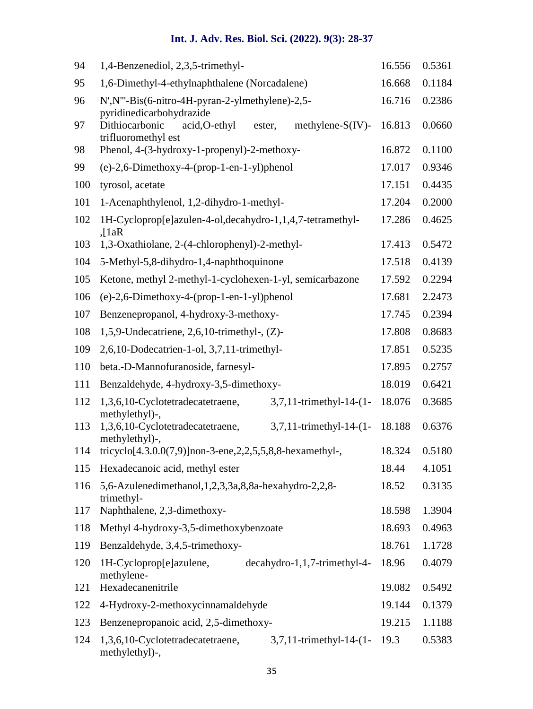| 94  | 1,4-Benzenediol, 2,3,5-trimethyl-                                                        |        | 0.5361 |
|-----|------------------------------------------------------------------------------------------|--------|--------|
| 95  | 1,6-Dimethyl-4-ethylnaphthalene (Norcadalene)                                            | 16.668 | 0.1184 |
| 96  | N', N'''-Bis(6-nitro-4H-pyran-2-ylmethylene)-2,5-<br>pyridinedicarbohydrazide            | 16.716 | 0.2386 |
| 97  | Dithiocarbonic<br>methylene- $S(IV)$ -<br>acid, O-ethyl<br>ester,<br>trifluoromethyl est | 16.813 | 0.0660 |
| 98  | Phenol, 4-(3-hydroxy-1-propenyl)-2-methoxy-                                              | 16.872 | 0.1100 |
| 99  | $(e)-2,6$ -Dimethoxy-4- $(prop-1-en-1-yl)$ phenol                                        | 17.017 | 0.9346 |
| 100 | tyrosol, acetate                                                                         | 17.151 | 0.4435 |
| 101 | 1-Acenaphthylenol, 1,2-dihydro-1-methyl-                                                 | 17.204 | 0.2000 |
| 102 | 1H-Cycloprop[e]azulen-4-ol,decahydro-1,1,4,7-tetramethyl-<br>$\int 1aR$                  | 17.286 | 0.4625 |
| 103 | 1,3-Oxathiolane, 2-(4-chlorophenyl)-2-methyl-                                            | 17.413 | 0.5472 |
| 104 | 5-Methyl-5,8-dihydro-1,4-naphthoquinone                                                  | 17.518 | 0.4139 |
| 105 | Ketone, methyl 2-methyl-1-cyclohexen-1-yl, semicarbazone                                 | 17.592 | 0.2294 |
| 106 | $(e)-2,6$ -Dimethoxy-4- $(prop-1-en-1-yl)$ phenol                                        | 17.681 | 2.2473 |
| 107 | Benzenepropanol, 4-hydroxy-3-methoxy-                                                    | 17.745 | 0.2394 |
| 108 | 1,5,9-Undecatriene, 2,6,10-trimethyl-, $(Z)$ -                                           | 17.808 | 0.8683 |
| 109 | 2,6,10-Dodecatrien-1-ol, 3,7,11-trimethyl-                                               | 17.851 | 0.5235 |
| 110 | beta.-D-Mannofuranoside, farnesyl-                                                       | 17.895 | 0.2757 |
| 111 | Benzaldehyde, 4-hydroxy-3,5-dimethoxy-                                                   | 18.019 | 0.6421 |
| 112 | 3,7,11-trimethyl-14-(1-<br>1,3,6,10-Cyclotetradecatetraene,<br>methylethyl)-,            | 18.076 | 0.3685 |
| 113 | 1,3,6,10-Cyclotetradecatetraene,<br>3,7,11-trimethyl-14-(1-<br>methylethyl)-,            | 18.188 | 0.6376 |
| 114 | tricyclo[4.3.0.0(7,9)]non-3-ene,2,2,5,5,8,8-hexamethyl-,                                 | 18.324 | 0.5180 |
| 115 | Hexadecanoic acid, methyl ester                                                          | 18.44  | 4.1051 |
| 116 | 5,6-Azulenedimethanol, 1, 2, 3, 3a, 8, 8a-hexahydro-2, 2, 8-<br>trimethyl-               |        | 0.3135 |
| 117 | Naphthalene, 2,3-dimethoxy-                                                              | 18.598 | 1.3904 |
| 118 | Methyl 4-hydroxy-3,5-dimethoxybenzoate                                                   |        | 0.4963 |
| 119 | Benzaldehyde, 3,4,5-trimethoxy-                                                          |        | 1.1728 |
| 120 | 1H-Cycloprop[e]azulene,<br>$decaydro-1,1,7-trimethyl-4-$<br>methylene-                   | 18.96  | 0.4079 |
| 121 | Hexadecanenitrile                                                                        |        | 0.5492 |
| 122 | 4-Hydroxy-2-methoxycinnamaldehyde                                                        |        | 0.1379 |
| 123 | Benzenepropanoic acid, 2,5-dimethoxy-                                                    | 19.215 | 1.1188 |
| 124 | 1,3,6,10-Cyclotetradecatetraene,<br>3,7,11-trimethyl-14-(1-<br>methylethyl)-,            | 19.3   | 0.5383 |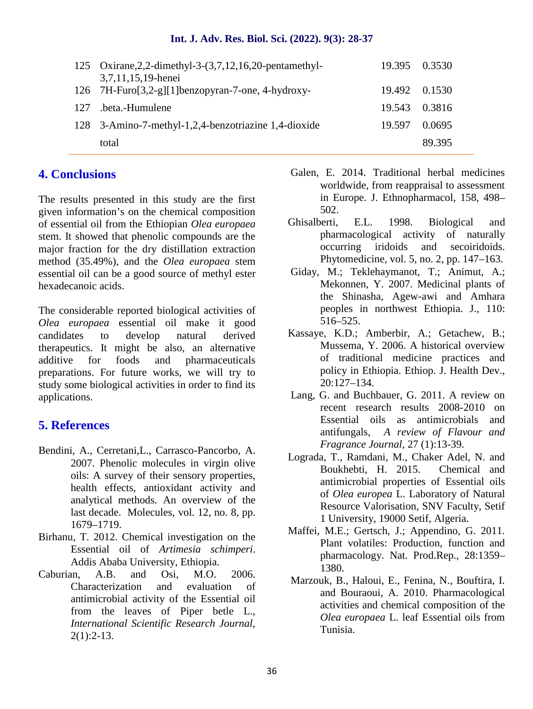|     | 125 Oxirane, 2, 2-dimethyl-3-(3, 7, 12, 16, 20-pentamethyl-<br>3,7,11,15,19-henei | 19.395 0.3530 |        |
|-----|-----------------------------------------------------------------------------------|---------------|--------|
|     | 126 7H-Furo[3,2-g][1]benzopyran-7-one, 4-hydroxy-                                 | 19.492 0.1530 |        |
| 127 | .beta.-Humulene                                                                   | 19.543 0.3816 |        |
|     | 128 3-Amino-7-methyl-1,2,4-benzotriazine 1,4-dioxide                              | 19.597        | 0.0695 |
|     | total                                                                             |               | 89.395 |
|     |                                                                                   |               |        |

### **4. Conclusions**

The results presented in this study are the first given information's on the chemical composition of essential oil from the Ethiopian *Olea europaea* stem. It showed that phenolic compounds are the major fraction for the dry distillation extraction method (35.49%), and the *Olea europaea* stem essential oil can be a good source of methyl ester hexadecanoic acids.

The considerable reported biological activities of *Olea europaea* essential oil make it good candidates to develop natural derived therapeutics. It might be also, an alternative additive for foods and pharmaceuticals preparations. For future works, we will try to study some biological activities in order to find its applications.

### **5. References**

- Bendini, A., Cerretani,L., Carrasco-Pancorbo, A. 2007. Phenolic molecules in virgin olive oils: A survey of their sensory properties, health effects, antioxidant activity and analytical methods. An overview of the last decade. Molecules, vol. 12, no. 8, pp. 1679–1719.
- Birhanu, T. 2012. Chemical investigation on the Essential oil of *Artimesia schimperi*. Addis Ababa University, Ethiopia.
- Caburian, A.B. and Osi, M.O. 2006. Characterization and evaluation of antimicrobial activity of the Essential oil from the leaves of Piper betle L., *International Scientific Research Journal,*  $2(1):2-13.$
- Galen, E. 2014. Traditional herbal medicines worldwide, from reappraisal to assessment in Europe. J. Ethnopharmacol, 158, 498– 502.
- Ghisalberti, E.L. 1998. Biological and pharmacological activity of naturally occurring iridoids and secoiridoids. Phytomedicine, vol. 5, no. 2, pp. 147–163.
- Giday, M.; Teklehaymanot, T.; Animut, A.; Mekonnen, Y. 2007. Medicinal plants of the Shinasha, Agew-awi and Amhara peoples in northwest Ethiopia. J., 110: 516–525.
- Kassaye, K.D.; Amberbir, A.; Getachew, B.; Mussema, Y. 2006. A historical overview of traditional medicine practices and policy in Ethiopia. Ethiop. J. Health Dev., 20:127–134.
- Lang, G. and Buchbauer, G. 2011. A review on recent research results 2008-2010 on Essential oils as antimicrobials and antifungals, *A review of Flavour and Fragrance Journal*, 27 (1):13-39.
- Lograda, T., Ramdani, M., Chaker Adel, N. and Boukhebti, H. 2015. Chemical and antimicrobial properties of Essential oils of *Olea europea* L. Laboratory of Natural Resource Valorisation, SNV Faculty, Setif 1 University, 19000 Setif, Algeria.
- Maffei, M.E.; Gertsch, J.; Appendino, G. 2011. Plant volatiles: Production, function and pharmacology. Nat. Prod.Rep., 28:1359– 1380.
- Marzouk, B., Haloui, E., Fenina, N., Bouftira, I. and Bouraoui, A. 2010. Pharmacological activities and chemical composition of the *Olea europaea* L. leaf Essential oils from Tunisia.